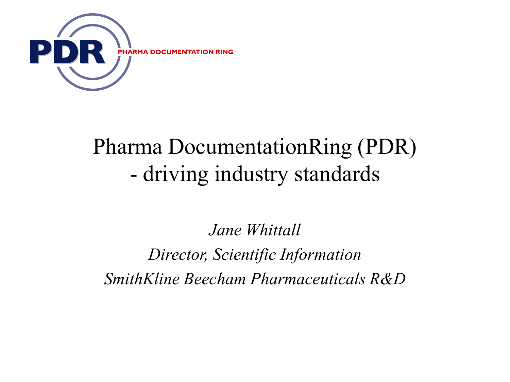

## Pharma DocumentationRing (PDR) - driving industry standards

*Jane Whittall*

*Director, Scientific Information SmithKline Beecham Pharmaceuticals R&D*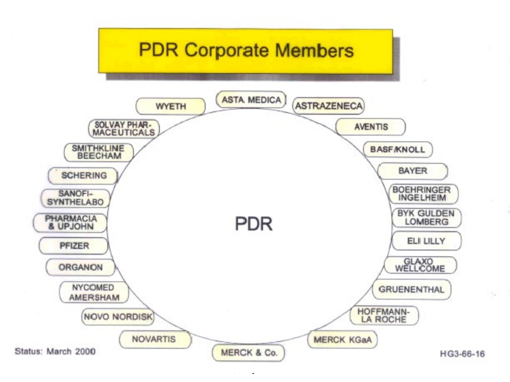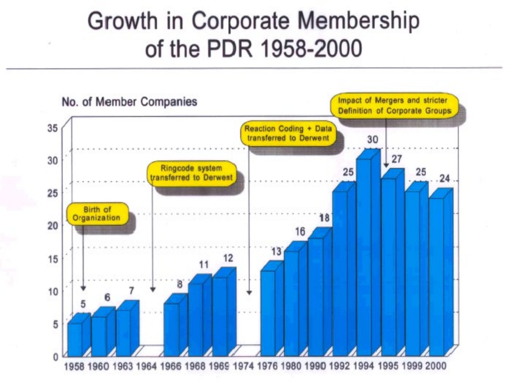# Growth in Corporate Membership of the PDR 1958-2000

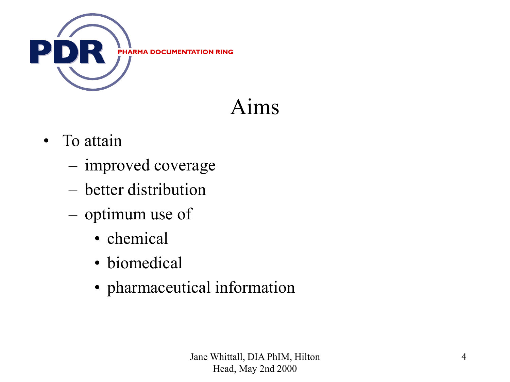

## Aims

- To attain
	- improved coverage
	- better distribution
	- optimum use of
		- chemical
		- biomedical
		- pharmaceutical information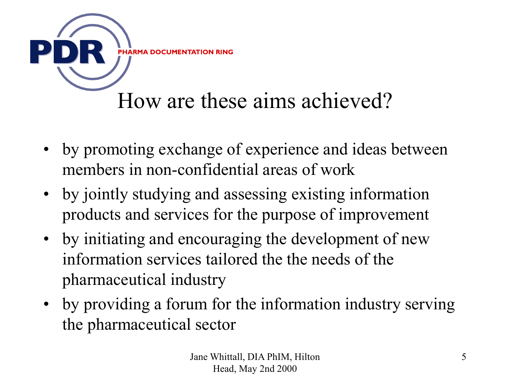

- by promoting exchange of experience and ideas between members in non-confidential areas of work
- by jointly studying and assessing existing information products and services for the purpose of improvement
- by initiating and encouraging the development of new information services tailored the the needs of the pharmaceutical industry
- by providing a forum for the information industry serving the pharmaceutical sector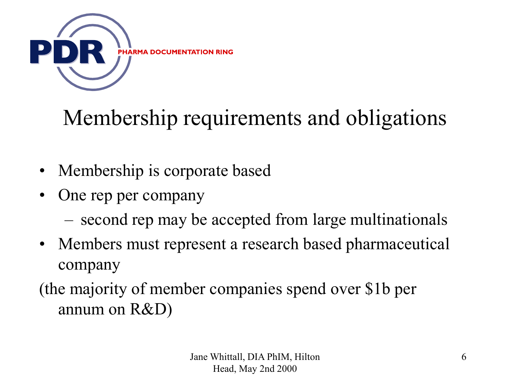

# Membership requirements and obligations

- Membership is corporate based
- One rep per company
	- second rep may be accepted from large multinationals
- Members must represent a research based pharmaceutical company

(the majority of member companies spend over \$1b per annum on R&D)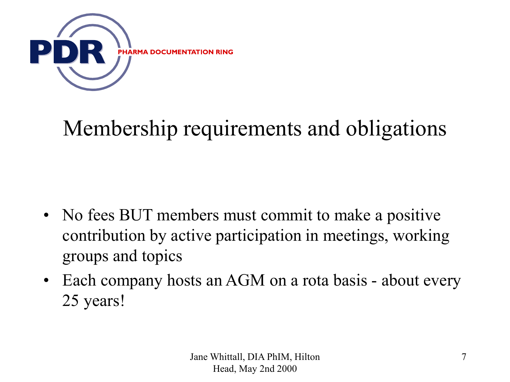

## Membership requirements and obligations

- No fees BUT members must commit to make a positive contribution by active participation in meetings, working groups and topics
- Each company hosts an AGM on a rota basis about every 25 years!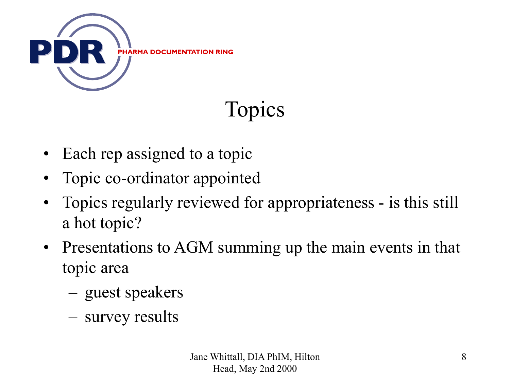

# Topics

- Each rep assigned to a topic
- Topic co-ordinator appointed
- Topics regularly reviewed for appropriateness is this still a hot topic?
- Presentations to AGM summing up the main events in that topic area
	- guest speakers
	- survey results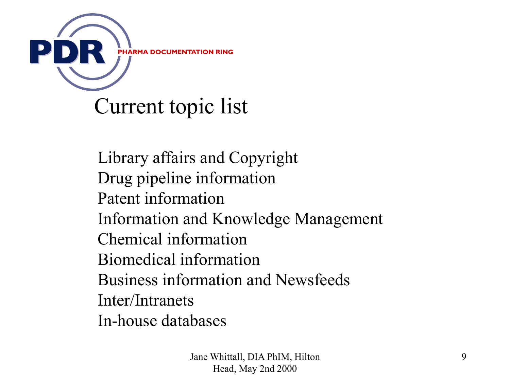

Library affairs and Copyright Drug pipeline information Patent information Information and Knowledge Management Chemical information Biomedical information Business information and Newsfeeds Inter/Intranets In-house databases

> Jane Whittall, DIA PhIM, Hilton Head, May 2nd 2000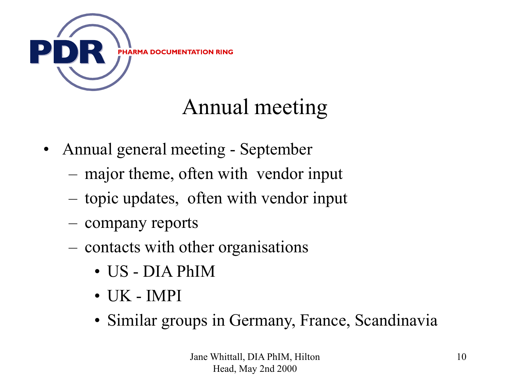

## Annual meeting

- Annual general meeting September
	- major theme, often with vendor input
	- topic updates, often with vendor input
	- company reports
	- contacts with other organisations
		- US DIA PhIM
		- $\bullet$  TIK IMPI
		- Similar groups in Germany, France, Scandinavia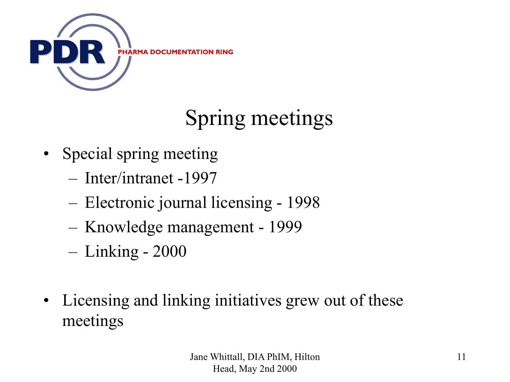

# Spring meetings

- Special spring meeting
	- Inter/intranet -1997
	- Electronic journal licensing 1998
	- Knowledge management 1999
	- Linking 2000
- Licensing and linking initiatives grew out of these meetings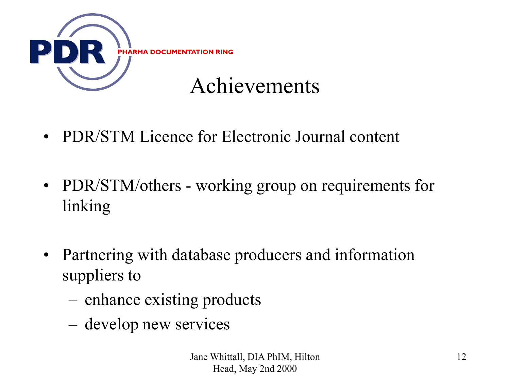

- PDR/STM Licence for Electronic Journal content
- PDR/STM/others working group on requirements for linking
- Partnering with database producers and information suppliers to
	- enhance existing products
	- develop new services

Jane Whittall, DIA PhIM, Hilton Head, May 2nd 2000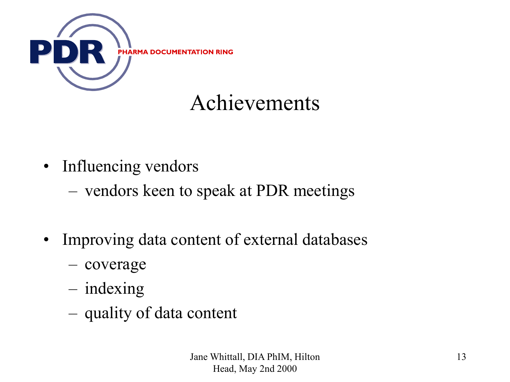

### Achievements

- Influencing vendors
	- vendors keen to speak at PDR meetings
- Improving data content of external databases
	- coverage
	- indexing
	- quality of data content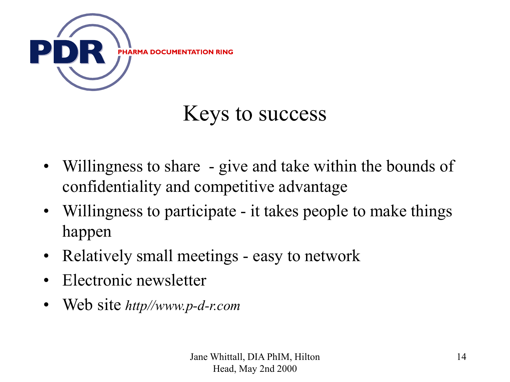

### Keys to success

- Willingness to share give and take within the bounds of confidentiality and competitive advantage
- Willingness to participate it takes people to make things happen
- Relatively small meetings easy to network
- Electronic newsletter
- Web site *http//www.p-d-r.com*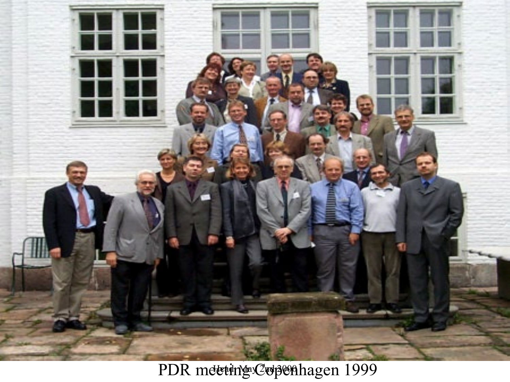

PDR meteting Copenhagen 1999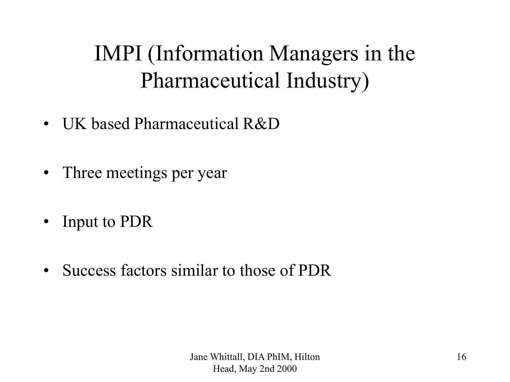## IMPI (Information Managers in the Pharmaceutical Industry)

- UK based Pharmaceutical R&D
- Three meetings per year
- Input to PDR
- Success factors similar to those of PDR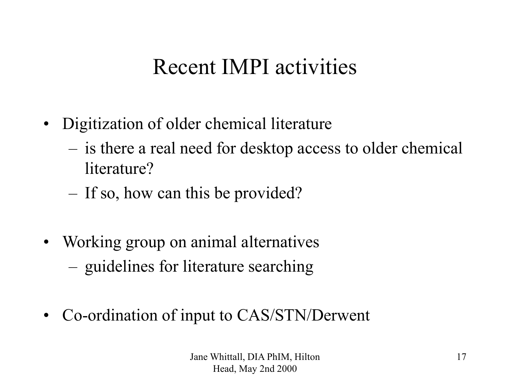### Recent IMPI activities

- Digitization of older chemical literature
	- is there a real need for desktop access to older chemical literature?
	- If so, how can this be provided?
- Working group on animal alternatives – guidelines for literature searching
- Co-ordination of input to CAS/STN/Derwent